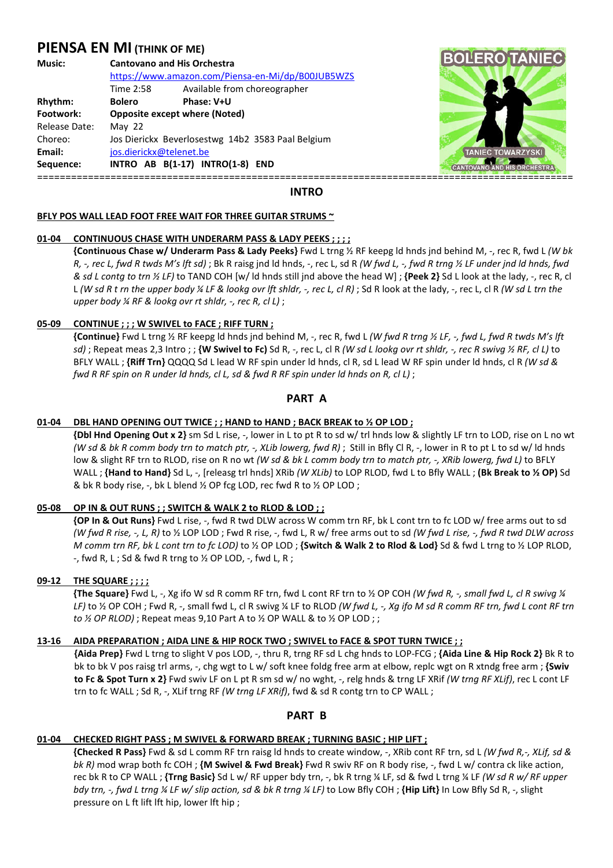# **PIENSA EN MI (THINK OF ME)**

| Music:        | <b>Cantovano and His Orchestra</b>                |                                                   |
|---------------|---------------------------------------------------|---------------------------------------------------|
|               |                                                   | https://www.amazon.com/Piensa-en-Mi/dp/B00JUB5WZS |
|               | Time 2:58                                         | Available from choreographer                      |
| Rhythm:       | <b>Bolero</b>                                     | Phase: V+U                                        |
| Footwork:     | <b>Opposite except where (Noted)</b>              |                                                   |
| Release Date: | May $22$                                          |                                                   |
| Choreo:       | Jos Dierickx Beverlosestwg 14b2 3583 Paal Belgium |                                                   |
| Email:        | jos.dierickx@telenet.be                           |                                                   |
| Sequence:     |                                                   | INTRO AB B(1-17) INTRO(1-8) END                   |



## **INTRO**

## **BFLY POS WALL LEAD FOOT FREE WAIT FOR THREE GUITAR STRUMS ~**

## **01-04 CONTINUOUS CHASE WITH UNDERARM PASS & LADY PEEKS ; ; ; ;**

 **{Continuous Chase w/ Underarm Pass & Lady Peeks}** Fwd L trng ½ RF keepg ld hnds jnd behind M, -, rec R, fwd L *(W bk R, -, rec L, fwd R twds M's lft sd)* ; Bk R raisg jnd ld hnds, -, rec L, sd R *(W fwd L, -, fwd R trng ½ LF under jnd ld hnds, fwd & sd L contg to trn ½ LF)* to TAND COH [w/ ld hnds still jnd above the head W] ; **{Peek 2}** Sd L look at the lady, -, rec R, cl L *(W sd R t rn the upper body ¼ LF & lookg ovr lft shldr, -, rec L, cl R)*; Sd R look at the lady, -, rec L, cl R *(W sd L trn the upper body ¼ RF & lookg ovr rt shldr, -, rec R, cl L)* ;

# **05-09 CONTINUE ; ; ; W SWIVEL to FACE ; RIFF TURN ;**

 **{Continue}** Fwd L trng ½ RF keepg ld hnds jnd behind M, -, rec R, fwd L *(W fwd R trng ½ LF, -, fwd L, fwd R twds M's lft sd)* ; Repeat meas 2,3 Intro ; ; **{W Swivel to Fc)** Sd R, -, rec L, cl R *(W sd L lookg ovr rt shldr, -, rec R swivg ½ RF, cl L)* to BFLY WALL ; **{Riff Trn}** QQQQ Sd L lead W RF spin under ld hnds, cl R, sd L lead W RF spin under ld hnds, cl R *(W sd & fwd R RF spin on R under ld hnds, cl L, sd & fwd R RF spin under ld hnds on R, cl L)* ;

# **PART A**

# **01-04 DBL HAND OPENING OUT TWICE ; ; HAND to HAND ; BACK BREAK to ½ OP LOD ;**

**{Dbl Hnd Opening Out x 2}** sm Sd L rise, -, lower in L to pt R to sd w/ trl hnds low & slightly LF trn to LOD, rise on L no wt *(W sd & bk R comm body trn to match ptr, -, XLib lowerg, fwd R)*; Still in Bfly Cl R, -, lower in R to pt L to sd w/ ld hnds low & slight RF trn to RLOD, rise on R no wt *(W sd & bk L comm body trn to match ptr, -, XRib lowerg, fwd L)* to BFLY WALL ; **{Hand to Hand}** Sd L, -, [releasg trl hnds] XRib *(W XLib)* to LOP RLOD, fwd L to Bfly WALL ; **(Bk Break to ½ OP)** Sd & bk R body rise, -, bk L blend ½ OP fcg LOD, rec fwd R to ½ OP LOD ;

# **05-08 OP IN & OUT RUNS ; ; SWITCH & WALK 2 to RLOD & LOD ; ;**

 **{OP In & Out Runs}** Fwd L rise, -, fwd R twd DLW across W comm trn RF, bk L cont trn to fc LOD w/ free arms out to sd *(W fwd R rise, -, L, R)* to ½ LOP LOD ; Fwd R rise, -, fwd L, R w/ free arms out to sd *(W fwd L rise, -, fwd R twd DLW across M comm trn RF, bk L cont trn to fc LOD)* to ½ OP LOD ; **{Switch & Walk 2 to Rlod & Lod}** Sd & fwd L trng to ½ LOP RLOD, -, fwd R, L ; Sd & fwd R trng to ½ OP LOD, -, fwd L, R ;

# **09-12 THE SQUARE ; ; ; ;**

 **{The Square}** Fwd L, -, Xg ifo W sd R comm RF trn, fwd L cont RF trn to ½ OP COH *(W fwd R, -, small fwd L, cl R swivg ¼ LF)* to ½ OP COH ; Fwd R, -, small fwd L, cl R swivg ¼ LF to RLOD *(W fwd L, -, Xg ifo M sd R comm RF trn, fwd L cont RF trn to ½ OP RLOD)* ; Repeat meas 9,10 Part A to ½ OP WALL & to ½ OP LOD ; ;

#### **13-16 AIDA PREPARATION ; AIDA LINE & HIP ROCK TWO ; SWIVEL to FACE & SPOT TURN TWICE ; ;**

**{Aida Prep}** Fwd L trng to slight V pos LOD, -, thru R, trng RF sd L chg hnds to LOP-FCG ; **{Aida Line & Hip Rock 2}** Bk R to bk to bk V pos raisg trl arms, -, chg wgt to L w/ soft knee foldg free arm at elbow, replc wgt on R xtndg free arm ; **{Swiv to Fc & Spot Turn x 2}** Fwd swiv LF on L pt R sm sd w/ no wght, -, relg hnds & trng LF XRif *(W trng RF XLif)*, rec L cont LF trn to fc WALL ; Sd R, -, XLif trng RF *(W trng LF XRif)*, fwd & sd R contg trn to CP WALL ;

# **PART B**

# **01-04 CHECKED RIGHT PASS ; M SWIVEL & FORWARD BREAK ; TURNING BASIC ; HIP LIFT ;**

 **{Checked R Pass}** Fwd & sd L comm RF trn raisg ld hnds to create window, -, XRib cont RF trn, sd L *(W fwd R,-, XLif, sd & bk R)* mod wrap both fc COH ; **{M Swivel & Fwd Break}** Fwd R swiv RF on R body rise, -, fwd L w/ contra ck like action, rec bk R to CP WALL ; **{Trng Basic}** Sd L w/ RF upper bdy trn, -, bk R trng ¼ LF, sd & fwd L trng ¼ LF *(W sd R w/ RF upper bdy trn, -, fwd L trng ¼ LF w/ slip action, sd & bk R trng ¼ LF)* to Low Bfly COH ; **{Hip Lift}** In Low Bfly Sd R, -, slight pressure on L ft lift lft hip, lower lft hip ;